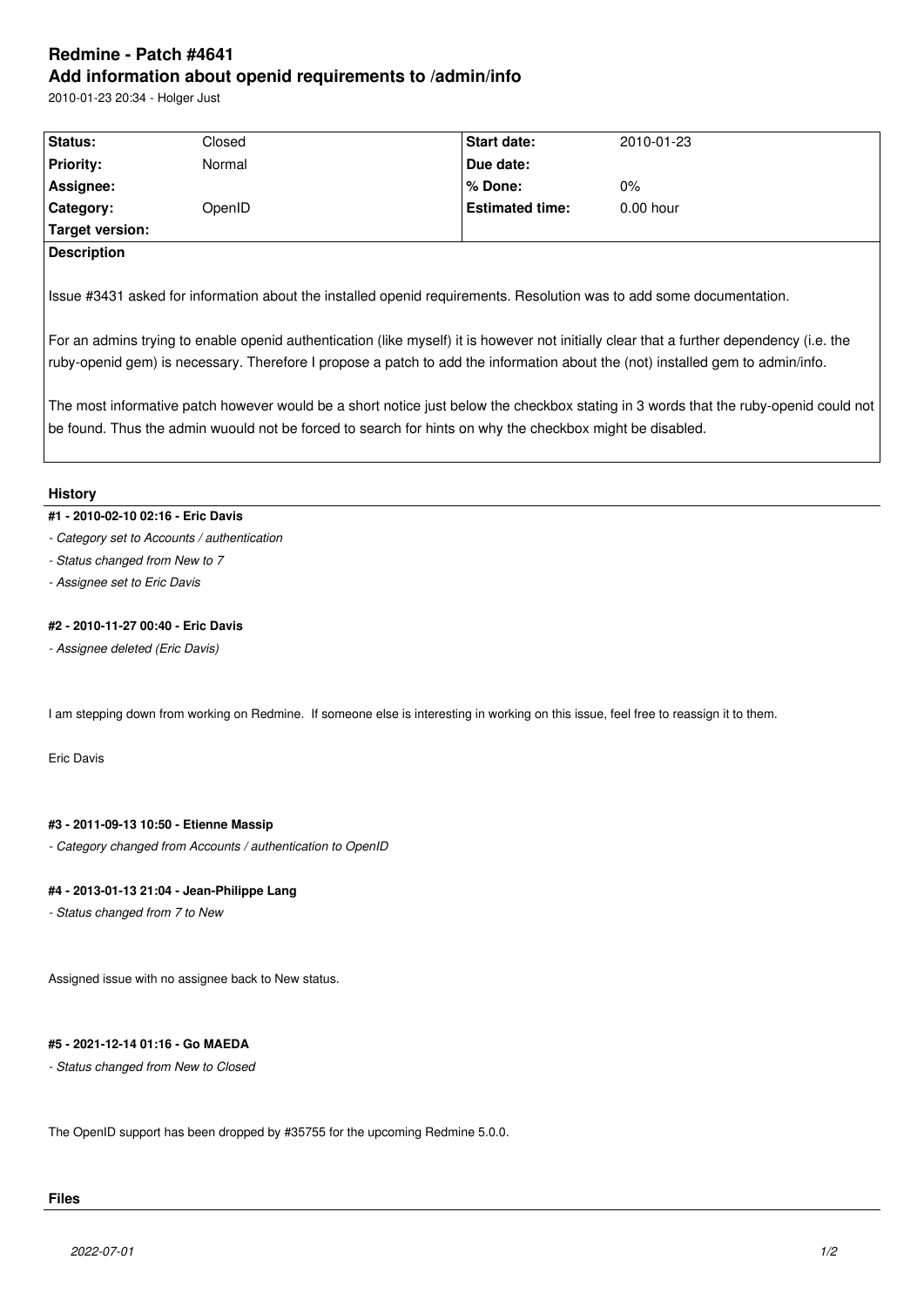# **Redmine - Patch #4641 Add information about openid requirements to /admin/info**

2010-01-23 20:34 - Holger Just

| Status:            | Closed | <b>Start date:</b>     | 2010-01-23  |
|--------------------|--------|------------------------|-------------|
| <b>Priority:</b>   | Normal | Due date:              |             |
| Assignee:          |        | % Done:                | $0\%$       |
| <b>Category:</b>   | OpenID | <b>Estimated time:</b> | $0.00$ hour |
| Target version:    |        |                        |             |
| <b>Description</b> |        |                        |             |
|                    |        |                        |             |

Issue #3431 asked for information about the installed openid requirements. Resolution was to add some documentation.

For an admins trying to enable openid authentication (like myself) it is however not initially clear that a further dependency (i.e. the ruby-openid gem) is necessary. Therefore I propose a patch to add the information about the (not) installed gem to admin/info.

The most informative patch however would be a short notice just below the checkbox stating in 3 words that the ruby-openid could not be found. Thus the admin wuould not be forced to search for hints on why the checkbox might be disabled.

#### **History**

#### **#1 - 2010-02-10 02:16 - Eric Davis**

- *Category set to Accounts / authentication*
- *Status changed from New to 7*
- *Assignee set to Eric Davis*

### **#2 - 2010-11-27 00:40 - Eric Davis**

*- Assignee deleted (Eric Davis)*

I am stepping down from working on Redmine. If someone else is interesting in working on this issue, feel free to reassign it to them.

Eric Davis

## **#3 - 2011-09-13 10:50 - Etienne Massip**

*- Category changed from Accounts / authentication to OpenID*

#### **#4 - 2013-01-13 21:04 - Jean-Philippe Lang**

*- Status changed from 7 to New*

Assigned issue with no assignee back to New status.

### **#5 - 2021-12-14 01:16 - Go MAEDA**

*- Status changed from New to Closed*

The OpenID support has been dropped by #35755 for the upcoming Redmine 5.0.0.

## **Files**